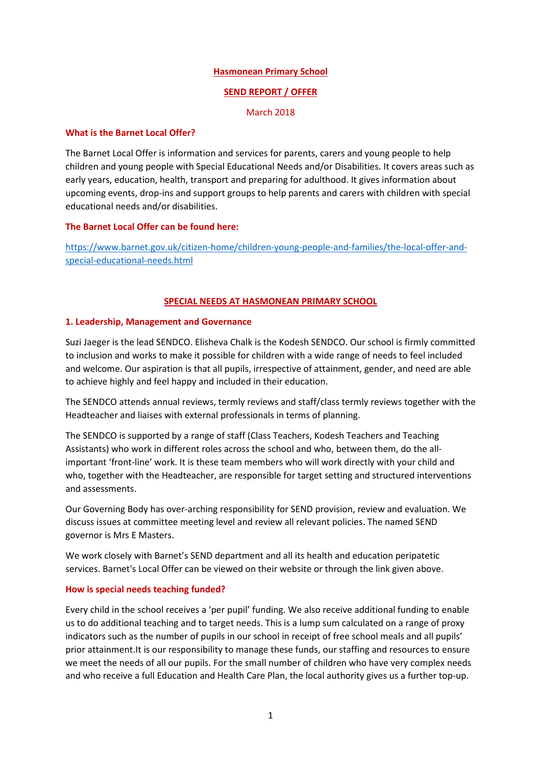### Hasmonean Primary School

## SEND REPORT / OFFER

March 2018

### What is the Barnet Local Offer?

The Barnet Local Offer is information and services for parents, carers and young people to help children and young people with Special Educational Needs and/or Disabilities. It covers areas such as early years, education, health, transport and preparing for adulthood. It gives information about upcoming events, drop-ins and support groups to help parents and carers with children with special educational needs and/or disabilities.

# The Barnet Local Offer can be found here:

https://www.barnet.gov.uk/citizen-home/children-young-people-and-families/the-local-offer-andspecial-educational-needs.html

## SPECIAL NEEDS AT HASMONEAN PRIMARY SCHOOL

## 1. Leadership, Management and Governance

Suzi Jaeger is the lead SENDCO. Elisheva Chalk is the Kodesh SENDCO. Our school is firmly committed to inclusion and works to make it possible for children with a wide range of needs to feel included and welcome. Our aspiration is that all pupils, irrespective of attainment, gender, and need are able to achieve highly and feel happy and included in their education.

The SENDCO attends annual reviews, termly reviews and staff/class termly reviews together with the Headteacher and liaises with external professionals in terms of planning.

The SENDCO is supported by a range of staff (Class Teachers, Kodesh Teachers and Teaching Assistants) who work in different roles across the school and who, between them, do the allimportant 'front-line' work. It is these team members who will work directly with your child and who, together with the Headteacher, are responsible for target setting and structured interventions and assessments.

Our Governing Body has over-arching responsibility for SEND provision, review and evaluation. We discuss issues at committee meeting level and review all relevant policies. The named SEND governor is Mrs E Masters.

We work closely with Barnet's SEND department and all its health and education peripatetic services. Barnet's Local Offer can be viewed on their website or through the link given above.

### How is special needs teaching funded?

Every child in the school receives a 'per pupil' funding. We also receive additional funding to enable us to do additional teaching and to target needs. This is a lump sum calculated on a range of proxy indicators such as the number of pupils in our school in receipt of free school meals and all pupils' prior attainment.It is our responsibility to manage these funds, our staffing and resources to ensure we meet the needs of all our pupils. For the small number of children who have very complex needs and who receive a full Education and Health Care Plan, the local authority gives us a further top-up.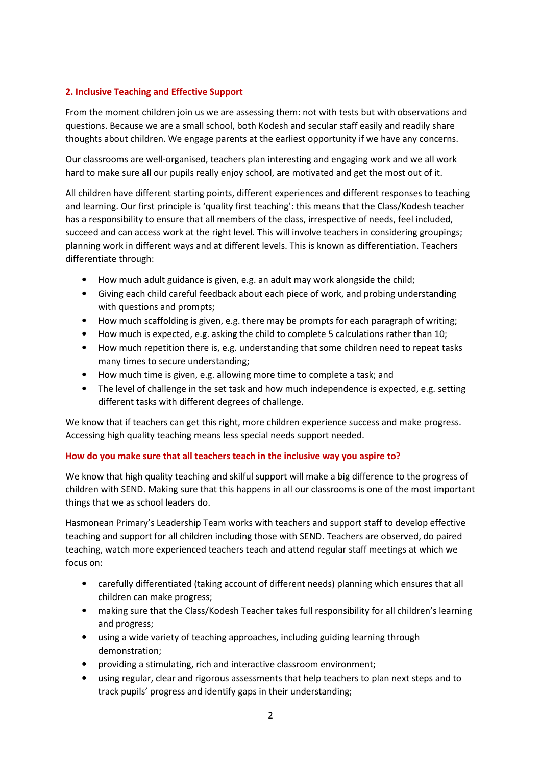# 2. Inclusive Teaching and Effective Support

From the moment children join us we are assessing them: not with tests but with observations and questions. Because we are a small school, both Kodesh and secular staff easily and readily share thoughts about children. We engage parents at the earliest opportunity if we have any concerns.

Our classrooms are well-organised, teachers plan interesting and engaging work and we all work hard to make sure all our pupils really enjoy school, are motivated and get the most out of it.

All children have different starting points, different experiences and different responses to teaching and learning. Our first principle is 'quality first teaching': this means that the Class/Kodesh teacher has a responsibility to ensure that all members of the class, irrespective of needs, feel included, succeed and can access work at the right level. This will involve teachers in considering groupings; planning work in different ways and at different levels. This is known as differentiation. Teachers differentiate through:

- How much adult guidance is given, e.g. an adult may work alongside the child;
- Giving each child careful feedback about each piece of work, and probing understanding with questions and prompts;
- How much scaffolding is given, e.g. there may be prompts for each paragraph of writing;
- How much is expected, e.g. asking the child to complete 5 calculations rather than 10;
- How much repetition there is, e.g. understanding that some children need to repeat tasks many times to secure understanding;
- How much time is given, e.g. allowing more time to complete a task; and
- The level of challenge in the set task and how much independence is expected, e.g. setting different tasks with different degrees of challenge.

We know that if teachers can get this right, more children experience success and make progress. Accessing high quality teaching means less special needs support needed.

# How do you make sure that all teachers teach in the inclusive way you aspire to?

We know that high quality teaching and skilful support will make a big difference to the progress of children with SEND. Making sure that this happens in all our classrooms is one of the most important things that we as school leaders do.

Hasmonean Primary's Leadership Team works with teachers and support staff to develop effective teaching and support for all children including those with SEND. Teachers are observed, do paired teaching, watch more experienced teachers teach and attend regular staff meetings at which we focus on:

- carefully differentiated (taking account of different needs) planning which ensures that all children can make progress;
- making sure that the Class/Kodesh Teacher takes full responsibility for all children's learning and progress;
- using a wide variety of teaching approaches, including guiding learning through demonstration;
- providing a stimulating, rich and interactive classroom environment;
- using regular, clear and rigorous assessments that help teachers to plan next steps and to track pupils' progress and identify gaps in their understanding;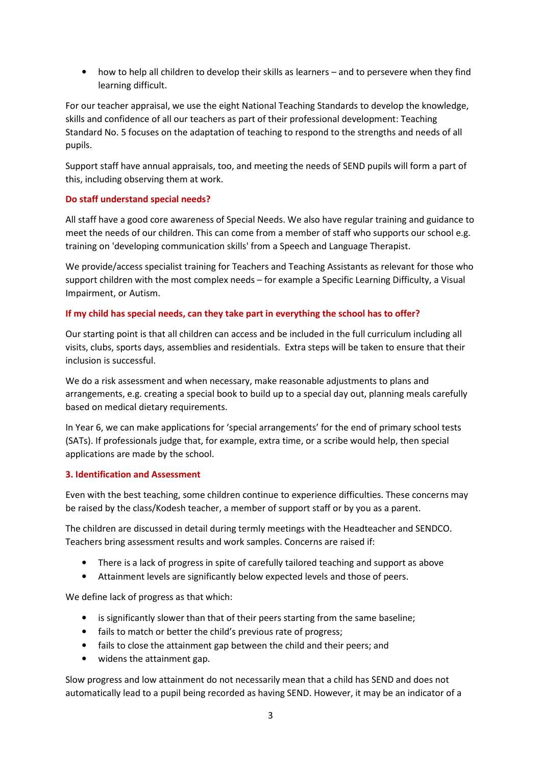• how to help all children to develop their skills as learners – and to persevere when they find learning difficult.

For our teacher appraisal, we use the eight National Teaching Standards to develop the knowledge, skills and confidence of all our teachers as part of their professional development: Teaching Standard No. 5 focuses on the adaptation of teaching to respond to the strengths and needs of all pupils.

Support staff have annual appraisals, too, and meeting the needs of SEND pupils will form a part of this, including observing them at work.

## Do staff understand special needs?

All staff have a good core awareness of Special Needs. We also have regular training and guidance to meet the needs of our children. This can come from a member of staff who supports our school e.g. training on 'developing communication skills' from a Speech and Language Therapist.

We provide/access specialist training for Teachers and Teaching Assistants as relevant for those who support children with the most complex needs – for example a Specific Learning Difficulty, a Visual Impairment, or Autism.

## If my child has special needs, can they take part in everything the school has to offer?

Our starting point is that all children can access and be included in the full curriculum including all visits, clubs, sports days, assemblies and residentials. Extra steps will be taken to ensure that their inclusion is successful.

We do a risk assessment and when necessary, make reasonable adjustments to plans and arrangements, e.g. creating a special book to build up to a special day out, planning meals carefully based on medical dietary requirements.

In Year 6, we can make applications for 'special arrangements' for the end of primary school tests (SATs). If professionals judge that, for example, extra time, or a scribe would help, then special applications are made by the school.

### 3. Identification and Assessment

Even with the best teaching, some children continue to experience difficulties. These concerns may be raised by the class/Kodesh teacher, a member of support staff or by you as a parent.

The children are discussed in detail during termly meetings with the Headteacher and SENDCO. Teachers bring assessment results and work samples. Concerns are raised if:

- There is a lack of progress in spite of carefully tailored teaching and support as above
- Attainment levels are significantly below expected levels and those of peers.

We define lack of progress as that which:

- is significantly slower than that of their peers starting from the same baseline;
- fails to match or better the child's previous rate of progress;
- fails to close the attainment gap between the child and their peers; and
- widens the attainment gap.

Slow progress and low attainment do not necessarily mean that a child has SEND and does not automatically lead to a pupil being recorded as having SEND. However, it may be an indicator of a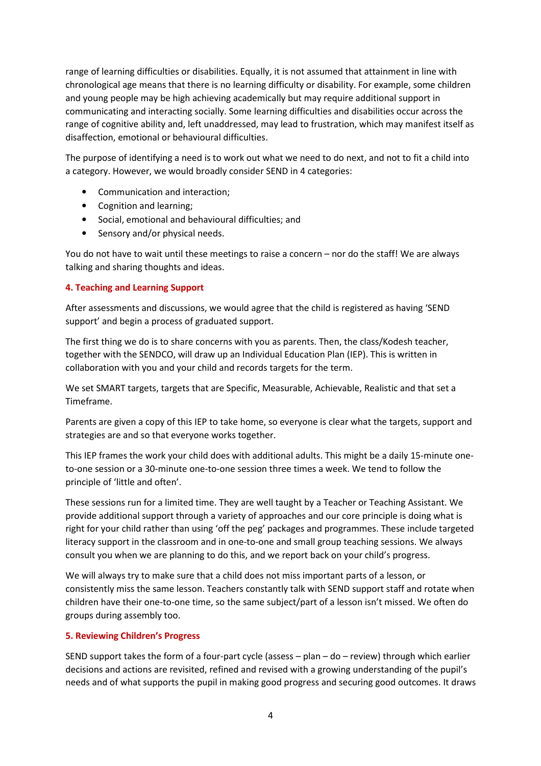range of learning difficulties or disabilities. Equally, it is not assumed that attainment in line with chronological age means that there is no learning difficulty or disability. For example, some children and young people may be high achieving academically but may require additional support in communicating and interacting socially. Some learning difficulties and disabilities occur across the range of cognitive ability and, left unaddressed, may lead to frustration, which may manifest itself as disaffection, emotional or behavioural difficulties.

The purpose of identifying a need is to work out what we need to do next, and not to fit a child into a category. However, we would broadly consider SEND in 4 categories:

- Communication and interaction;
- Cognition and learning;
- Social, emotional and behavioural difficulties; and
- Sensory and/or physical needs.

You do not have to wait until these meetings to raise a concern – nor do the staff! We are always talking and sharing thoughts and ideas.

### 4. Teaching and Learning Support

After assessments and discussions, we would agree that the child is registered as having 'SEND support' and begin a process of graduated support.

The first thing we do is to share concerns with you as parents. Then, the class/Kodesh teacher, together with the SENDCO, will draw up an Individual Education Plan (IEP). This is written in collaboration with you and your child and records targets for the term.

We set SMART targets, targets that are Specific, Measurable, Achievable, Realistic and that set a Timeframe.

Parents are given a copy of this IEP to take home, so everyone is clear what the targets, support and strategies are and so that everyone works together.

This IEP frames the work your child does with additional adults. This might be a daily 15-minute oneto-one session or a 30-minute one-to-one session three times a week. We tend to follow the principle of 'little and often'.

These sessions run for a limited time. They are well taught by a Teacher or Teaching Assistant. We provide additional support through a variety of approaches and our core principle is doing what is right for your child rather than using 'off the peg' packages and programmes. These include targeted literacy support in the classroom and in one-to-one and small group teaching sessions. We always consult you when we are planning to do this, and we report back on your child's progress.

We will always try to make sure that a child does not miss important parts of a lesson, or consistently miss the same lesson. Teachers constantly talk with SEND support staff and rotate when children have their one-to-one time, so the same subject/part of a lesson isn't missed. We often do groups during assembly too.

### 5. Reviewing Children's Progress

SEND support takes the form of a four-part cycle (assess – plan – do – review) through which earlier decisions and actions are revisited, refined and revised with a growing understanding of the pupil's needs and of what supports the pupil in making good progress and securing good outcomes. It draws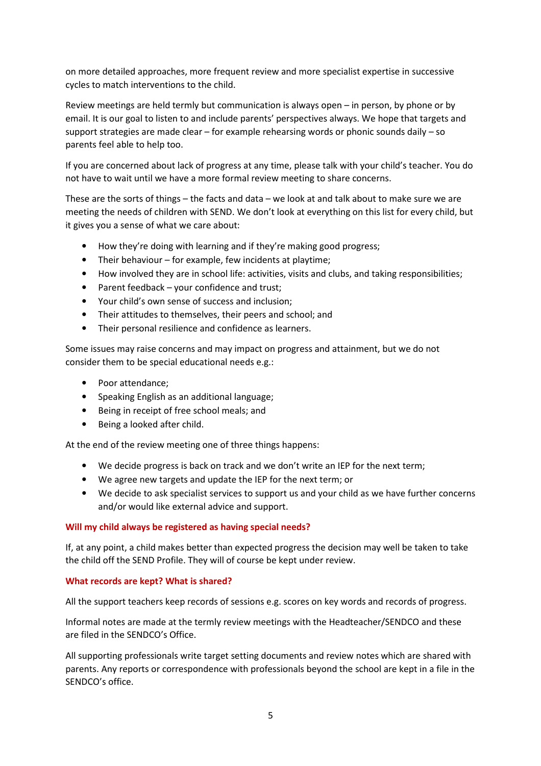on more detailed approaches, more frequent review and more specialist expertise in successive cycles to match interventions to the child.

Review meetings are held termly but communication is always open – in person, by phone or by email. It is our goal to listen to and include parents' perspectives always. We hope that targets and support strategies are made clear – for example rehearsing words or phonic sounds daily – so parents feel able to help too.

If you are concerned about lack of progress at any time, please talk with your child's teacher. You do not have to wait until we have a more formal review meeting to share concerns.

These are the sorts of things – the facts and data – we look at and talk about to make sure we are meeting the needs of children with SEND. We don't look at everything on this list for every child, but it gives you a sense of what we care about:

- How they're doing with learning and if they're making good progress;
- Their behaviour for example, few incidents at playtime;
- How involved they are in school life: activities, visits and clubs, and taking responsibilities;
- Parent feedback your confidence and trust;
- Your child's own sense of success and inclusion;
- Their attitudes to themselves, their peers and school; and
- Their personal resilience and confidence as learners.

Some issues may raise concerns and may impact on progress and attainment, but we do not consider them to be special educational needs e.g.:

- Poor attendance;
- Speaking English as an additional language;
- Being in receipt of free school meals; and
- Being a looked after child.

At the end of the review meeting one of three things happens:

- We decide progress is back on track and we don't write an IEP for the next term;
- We agree new targets and update the IEP for the next term; or
- We decide to ask specialist services to support us and your child as we have further concerns and/or would like external advice and support.

#### Will my child always be registered as having special needs?

If, at any point, a child makes better than expected progress the decision may well be taken to take the child off the SEND Profile. They will of course be kept under review.

#### What records are kept? What is shared?

All the support teachers keep records of sessions e.g. scores on key words and records of progress.

Informal notes are made at the termly review meetings with the Headteacher/SENDCO and these are filed in the SENDCO's Office.

All supporting professionals write target setting documents and review notes which are shared with parents. Any reports or correspondence with professionals beyond the school are kept in a file in the SENDCO's office.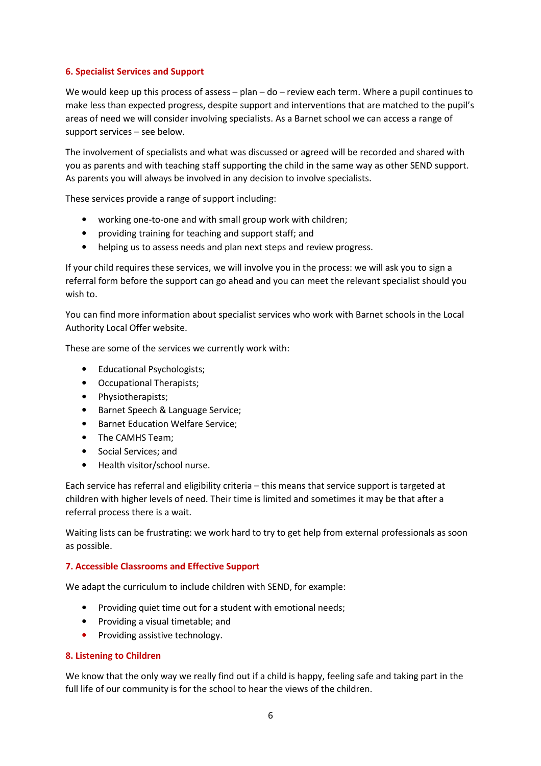## 6. Specialist Services and Support

We would keep up this process of assess - plan - do - review each term. Where a pupil continues to make less than expected progress, despite support and interventions that are matched to the pupil's areas of need we will consider involving specialists. As a Barnet school we can access a range of support services – see below.

The involvement of specialists and what was discussed or agreed will be recorded and shared with you as parents and with teaching staff supporting the child in the same way as other SEND support. As parents you will always be involved in any decision to involve specialists.

These services provide a range of support including:

- working one-to-one and with small group work with children;
- providing training for teaching and support staff; and
- helping us to assess needs and plan next steps and review progress.

If your child requires these services, we will involve you in the process: we will ask you to sign a referral form before the support can go ahead and you can meet the relevant specialist should you wish to.

You can find more information about specialist services who work with Barnet schools in the Local Authority Local Offer website.

These are some of the services we currently work with:

- Educational Psychologists;
- Occupational Therapists;
- Physiotherapists;
- Barnet Speech & Language Service;
- Barnet Education Welfare Service;
- The CAMHS Team;
- Social Services; and
- Health visitor/school nurse.

Each service has referral and eligibility criteria – this means that service support is targeted at children with higher levels of need. Their time is limited and sometimes it may be that after a referral process there is a wait.

Waiting lists can be frustrating: we work hard to try to get help from external professionals as soon as possible.

### 7. Accessible Classrooms and Effective Support

We adapt the curriculum to include children with SEND, for example:

- Providing quiet time out for a student with emotional needs;
- Providing a visual timetable; and
- Providing assistive technology.

### 8. Listening to Children

We know that the only way we really find out if a child is happy, feeling safe and taking part in the full life of our community is for the school to hear the views of the children.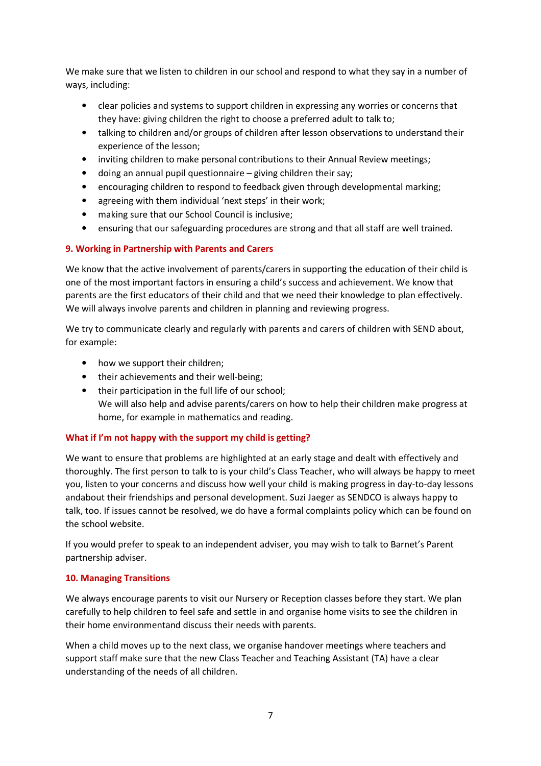We make sure that we listen to children in our school and respond to what they say in a number of ways, including:

- clear policies and systems to support children in expressing any worries or concerns that they have: giving children the right to choose a preferred adult to talk to;
- talking to children and/or groups of children after lesson observations to understand their experience of the lesson;
- inviting children to make personal contributions to their Annual Review meetings;
- doing an annual pupil questionnaire giving children their say;
- encouraging children to respond to feedback given through developmental marking;
- agreeing with them individual 'next steps' in their work;
- making sure that our School Council is inclusive;
- ensuring that our safeguarding procedures are strong and that all staff are well trained.

# 9. Working in Partnership with Parents and Carers

We know that the active involvement of parents/carers in supporting the education of their child is one of the most important factors in ensuring a child's success and achievement. We know that parents are the first educators of their child and that we need their knowledge to plan effectively. We will always involve parents and children in planning and reviewing progress.

We try to communicate clearly and regularly with parents and carers of children with SEND about, for example:

- how we support their children;
- their achievements and their well-being:
- their participation in the full life of our school; We will also help and advise parents/carers on how to help their children make progress at home, for example in mathematics and reading.

# What if I'm not happy with the support my child is getting?

We want to ensure that problems are highlighted at an early stage and dealt with effectively and thoroughly. The first person to talk to is your child's Class Teacher, who will always be happy to meet you, listen to your concerns and discuss how well your child is making progress in day-to-day lessons andabout their friendships and personal development. Suzi Jaeger as SENDCO is always happy to talk, too. If issues cannot be resolved, we do have a formal complaints policy which can be found on the school website.

If you would prefer to speak to an independent adviser, you may wish to talk to Barnet's Parent partnership adviser.

# 10. Managing Transitions

We always encourage parents to visit our Nursery or Reception classes before they start. We plan carefully to help children to feel safe and settle in and organise home visits to see the children in their home environmentand discuss their needs with parents.

When a child moves up to the next class, we organise handover meetings where teachers and support staff make sure that the new Class Teacher and Teaching Assistant (TA) have a clear understanding of the needs of all children.